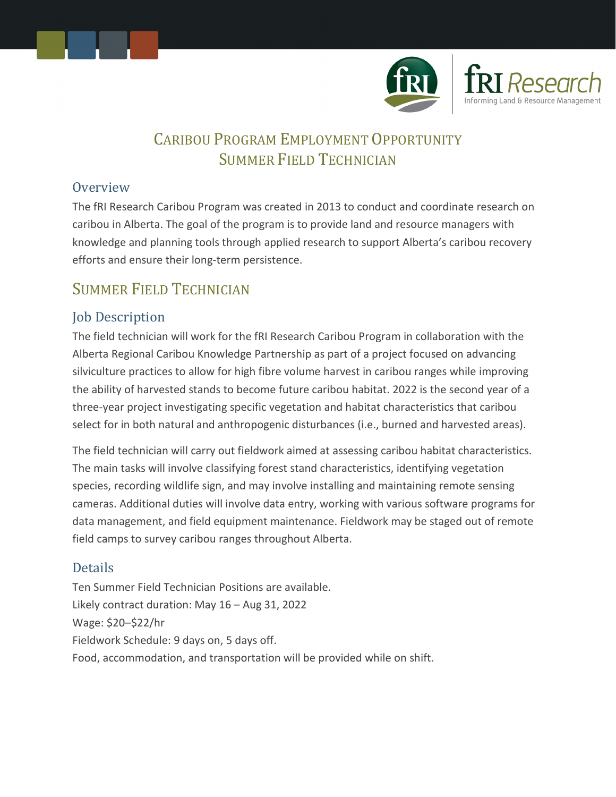



# CARIBOU PROGRAM EMPLOYMENT OPPORTUNITY SUMMER FIELD TECHNICIAN

#### **Overview**

The fRI Research Caribou Program was created in 2013 to conduct and coordinate research on caribou in Alberta. The goal of the program is to provide land and resource managers with knowledge and planning tools through applied research to support Alberta's caribou recovery efforts and ensure their long-term persistence.

# SUMMER FIELD TECHNICIAN

## Job Description

The field technician will work for the fRI Research Caribou Program in collaboration with the Alberta Regional Caribou Knowledge Partnership as part of a project focused on advancing silviculture practices to allow for high fibre volume harvest in caribou ranges while improving the ability of harvested stands to become future caribou habitat. 2022 is the second year of a three-year project investigating specific vegetation and habitat characteristics that caribou select for in both natural and anthropogenic disturbances (i.e., burned and harvested areas).

The field technician will carry out fieldwork aimed at assessing caribou habitat characteristics. The main tasks will involve classifying forest stand characteristics, identifying vegetation species, recording wildlife sign, and may involve installing and maintaining remote sensing cameras. Additional duties will involve data entry, working with various software programs for data management, and field equipment maintenance. Fieldwork may be staged out of remote field camps to survey caribou ranges throughout Alberta.

### Details

Ten Summer Field Technician Positions are available. Likely contract duration: May 16 – Aug 31, 2022 Wage: \$20–\$22/hr Fieldwork Schedule: 9 days on, 5 days off. Food, accommodation, and transportation will be provided while on shift.